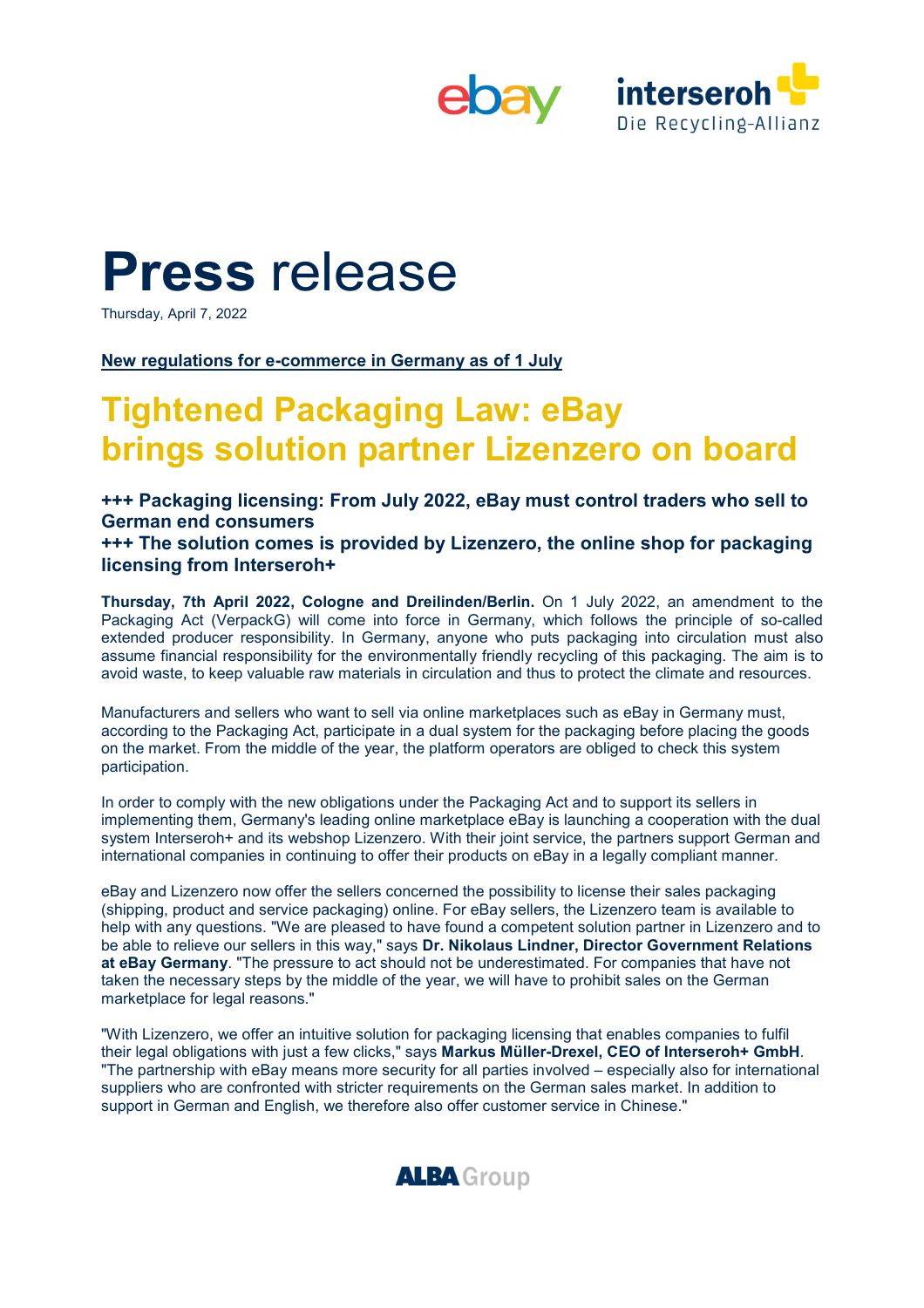



# **Press** release

Thursday, April 7, 2022

**New regulations for e-commerce in Germany as of 1 July** 

## **Tightened Packaging Law: eBay brings solution partner Lizenzero on board**

**+++ Packaging licensing: From July 2022, eBay must control traders who sell to German end consumers** 

**+++ The solution comes is provided by Lizenzero, the online shop for packaging licensing from Interseroh+** 

**Thursday, 7th April 2022, Cologne and Dreilinden/Berlin.** On 1 July 2022, an amendment to the Packaging Act (VerpackG) will come into force in Germany, which follows the principle of so-called extended producer responsibility. In Germany, anyone who puts packaging into circulation must also assume financial responsibility for the environmentally friendly recycling of this packaging. The aim is to avoid waste, to keep valuable raw materials in circulation and thus to protect the climate and resources.

Manufacturers and sellers who want to sell via online marketplaces such as eBay in Germany must, according to the Packaging Act, participate in a dual system for the packaging before placing the goods on the market. From the middle of the year, the platform operators are obliged to check this system participation.

In order to comply with the new obligations under the Packaging Act and to support its sellers in implementing them, Germany's leading online marketplace eBay is launching a cooperation with the dual system Interseroh+ and its webshop Lizenzero. With their joint service, the partners support German and international companies in continuing to offer their products on eBay in a legally compliant manner.

eBay and Lizenzero now offer the sellers concerned the possibility to license their sales packaging (shipping, product and service packaging) online. For eBay sellers, the Lizenzero team is available to help with any questions. "We are pleased to have found a competent solution partner in Lizenzero and to be able to relieve our sellers in this way," says **Dr. Nikolaus Lindner, Director Government Relations at eBay Germany**. "The pressure to act should not be underestimated. For companies that have not taken the necessary steps by the middle of the year, we will have to prohibit sales on the German marketplace for legal reasons."

"With Lizenzero, we offer an intuitive solution for packaging licensing that enables companies to fulfil their legal obligations with just a few clicks," says **Markus Müller-Drexel, CEO of Interseroh+ GmbH**. "The partnership with eBay means more security for all parties involved – especially also for international suppliers who are confronted with stricter requirements on the German sales market. In addition to support in German and English, we therefore also offer customer service in Chinese."